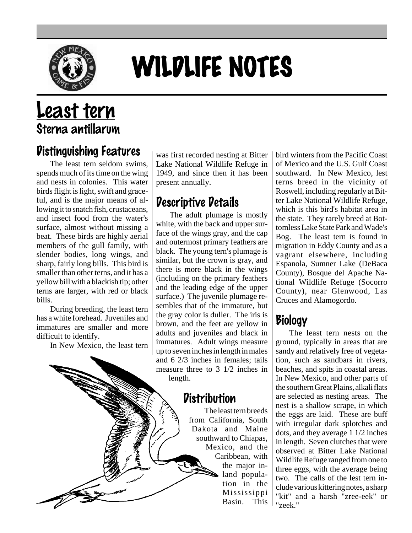

# WILDLIFE NOTES

# Least tern Sterna antillarum

#### Distinguishing Features

The least tern seldom swims, spends much of its time on the wing and nests in colonies. This water birds flight is light, swift and graceful, and is the major means of allowing it to snatch fish, crustaceans, and insect food from the water's surface, almost without missing a beat. These birds are highly aerial members of the gull family, with slender bodies, long wings, and sharp, fairly long bills. This bird is smaller than other terns, and it has a yellow bill with a blackish tip; other terns are larger, with red or black bills.

During breeding, the least tern has a white forehead. Juveniles and immatures are smaller and more difficult to identify.

In New Mexico, the least tern

was first recorded nesting at Bitter Lake National Wildlife Refuge in 1949, and since then it has been present annually.

### Descriptive Details

The adult plumage is mostly white, with the back and upper surface of the wings gray, and the cap and outermost primary feathers are black. The young tern's plumage is similar, but the crown is gray, and there is more black in the wings (including on the primary feathers and the leading edge of the upper surface.) The juvenile plumage resembles that of the immature, but the gray color is duller. The iris is brown, and the feet are yellow in adults and juveniles and black in immatures. Adult wings measure up to seven inches in length in males and 6 2/3 inches in females; tails measure three to 3 1/2 inches in length.

#### **Distribution**

The least tern breeds from California, South Dakota and Maine southward to Chiapas, Mexico, and the Caribbean, with the major inland population in the Mississippi Basin. This

bird winters from the Pacific Coast of Mexico and the U.S. Gulf Coast southward. In New Mexico, lest terns breed in the vicinity of Roswell, including regularly at Bitter Lake National Wildlife Refuge, which is this bird's habitat area in the state. They rarely breed at Bottomless Lake State Park and Wade's Bog. The least tern is found in migration in Eddy County and as a vagrant elsewhere, including Espanola, Sumner Lake (DeBaca County), Bosque del Apache National Wildlife Refuge (Socorro County), near Glenwood, Las Cruces and Alamogordo.

## Biology

The least tern nests on the ground, typically in areas that are sandy and relatively free of vegetation, such as sandbars in rivers, beaches, and spits in coastal areas. In New Mexico, and other parts of the southern Great Plains, alkali flats are selected as nesting areas. The nest is a shallow scrape, in which the eggs are laid. These are buff with irregular dark splotches and dots, and they average 1 1/2 inches in length. Seven clutches that were observed at Bitter Lake National Wildlife Refuge ranged from one to three eggs, with the average being two. The calls of the lest tern include various kittering notes, a sharp "kit" and a harsh "zree-eek" or "zeek."